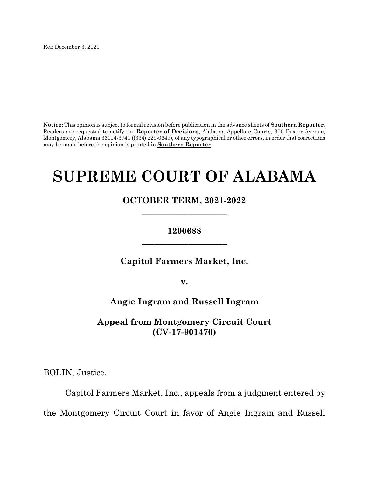Rel: December 3, 2021

**Notice:** This opinion is subject to formal revision before publication in the advance sheets of **Southern Reporter**. Readers are requested to notify the **Reporter of Decisions**, Alabama Appellate Courts, 300 Dexter Avenue, Montgomery, Alabama 36104-3741 ((334) 229-0649), of any typographical or other errors, in order that corrections may be made before the opinion is printed in **Southern Reporter**.

# **SUPREME COURT OF ALABAMA**

**OCTOBER TERM, 2021-2022 \_\_\_\_\_\_\_\_\_\_\_\_\_\_\_\_\_\_\_\_**

# **1200688 \_\_\_\_\_\_\_\_\_\_\_\_\_\_\_\_\_\_\_\_**

**Capitol Farmers Market, Inc.**

**v.**

**Angie Ingram and Russell Ingram**

**Appeal from Montgomery Circuit Court (CV-17-901470)**

BOLIN, Justice.

Capitol Farmers Market, Inc., appeals from a judgment entered by the Montgomery Circuit Court in favor of Angie Ingram and Russell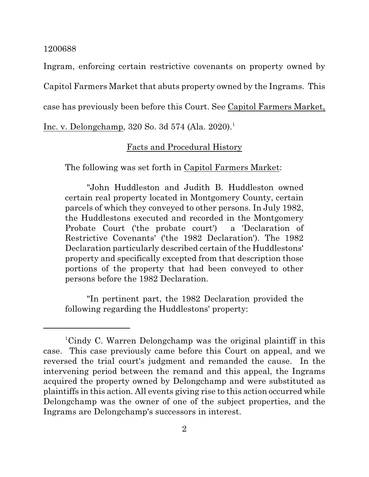Ingram, enforcing certain restrictive covenants on property owned by Capitol Farmers Market that abuts property owned by the Ingrams. This case has previously been before this Court. See Capitol Farmers Market,

Inc. v. Delongchamp, 320 So. 3d 574 (Ala. 2020).<sup>1</sup>

# Facts and Procedural History

The following was set forth in Capitol Farmers Market:

"John Huddleston and Judith B. Huddleston owned certain real property located in Montgomery County, certain parcels of which they conveyed to other persons. In July 1982, the Huddlestons executed and recorded in the Montgomery Probate Court ('the probate court') a 'Declaration of Restrictive Covenants' ('the 1982 Declaration'). The 1982 Declaration particularly described certain of the Huddlestons' property and specifically excepted from that description those portions of the property that had been conveyed to other persons before the 1982 Declaration.

"In pertinent part, the 1982 Declaration provided the following regarding the Huddlestons' property:

<sup>1</sup>Cindy C. Warren Delongchamp was the original plaintiff in this case. This case previously came before this Court on appeal, and we reversed the trial court's judgment and remanded the cause. In the intervening period between the remand and this appeal, the Ingrams acquired the property owned by Delongchamp and were substituted as plaintiffs in this action. All events giving rise to this action occurred while Delongchamp was the owner of one of the subject properties, and the Ingrams are Delongchamp's successors in interest.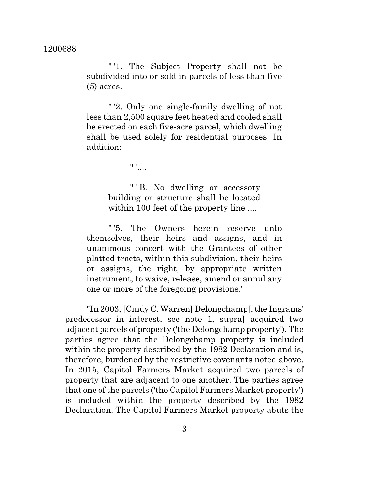" '1. The Subject Property shall not be subdivided into or sold in parcels of less than five (5) acres.

" '2. Only one single-family dwelling of not less than 2,500 square feet heated and cooled shall be erected on each five-acre parcel, which dwelling shall be used solely for residential purposes. In addition:

 $" '$ ....

"' B. No dwelling or accessory building or structure shall be located within 100 feet of the property line ....

" '5. The Owners herein reserve unto themselves, their heirs and assigns, and in unanimous concert with the Grantees of other platted tracts, within this subdivision, their heirs or assigns, the right, by appropriate written instrument, to waive, release, amend or annul any one or more of the foregoing provisions.'

"In 2003, [Cindy C. Warren] Delongchamp[,the Ingrams' predecessor in interest, see note 1, supra] acquired two adjacent parcels of property ('the Delongchamp property'). The parties agree that the Delongchamp property is included within the property described by the 1982 Declaration and is, therefore, burdened by the restrictive covenants noted above. In 2015, Capitol Farmers Market acquired two parcels of property that are adjacent to one another. The parties agree that one of the parcels ('the Capitol Farmers Market property') is included within the property described by the 1982 Declaration. The Capitol Farmers Market property abuts the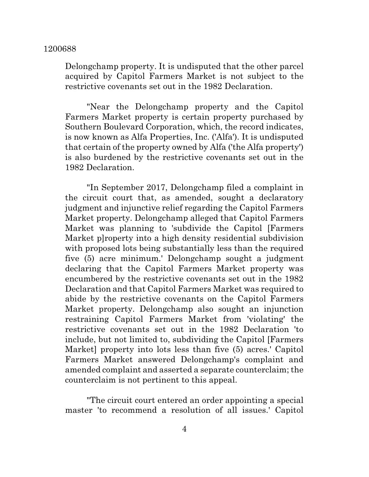Delongchamp property. It is undisputed that the other parcel acquired by Capitol Farmers Market is not subject to the restrictive covenants set out in the 1982 Declaration.

"Near the Delongchamp property and the Capitol Farmers Market property is certain property purchased by Southern Boulevard Corporation, which, the record indicates, is now known as Alfa Properties, Inc. ('Alfa'). It is undisputed that certain of the property owned by Alfa ('the Alfa property') is also burdened by the restrictive covenants set out in the 1982 Declaration.

"In September 2017, Delongchamp filed a complaint in the circuit court that, as amended, sought a declaratory judgment and injunctive relief regarding the Capitol Farmers Market property. Delongchamp alleged that Capitol Farmers Market was planning to 'subdivide the Capitol [Farmers Market p]roperty into a high density residential subdivision with proposed lots being substantially less than the required five (5) acre minimum.' Delongchamp sought a judgment declaring that the Capitol Farmers Market property was encumbered by the restrictive covenants set out in the 1982 Declaration and that Capitol Farmers Market was required to abide by the restrictive covenants on the Capitol Farmers Market property. Delongchamp also sought an injunction restraining Capitol Farmers Market from 'violating' the restrictive covenants set out in the 1982 Declaration 'to include, but not limited to, subdividing the Capitol [Farmers Market] property into lots less than five (5) acres.' Capitol Farmers Market answered Delongchamp's complaint and amended complaint and asserted a separate counterclaim; the counterclaim is not pertinent to this appeal.

"The circuit court entered an order appointing a special master 'to recommend a resolution of all issues.' Capitol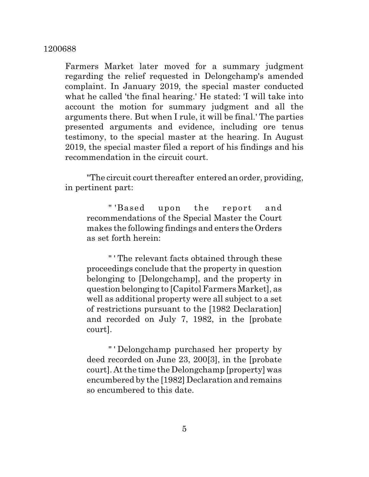Farmers Market later moved for a summary judgment regarding the relief requested in Delongchamp's amended complaint. In January 2019, the special master conducted what he called 'the final hearing.' He stated: 'I will take into account the motion for summary judgment and all the arguments there. But when I rule, it will be final.' The parties presented arguments and evidence, including ore tenus testimony, to the special master at the hearing. In August 2019, the special master filed a report of his findings and his recommendation in the circuit court.

"The circuit court thereafter entered an order, providing, in pertinent part:

" 'Based upon the report and recommendations of the Special Master the Court makes the following findings and enters the Orders as set forth herein:

" ' The relevant facts obtained through these proceedings conclude that the property in question belonging to [Delongchamp], and the property in question belonging to [Capitol Farmers Market], as well as additional property were all subject to a set of restrictions pursuant to the [1982 Declaration] and recorded on July 7, 1982, in the [probate court].

" ' Delongchamp purchased her property by deed recorded on June 23, 200[3], in the [probate court]. At the time the Delongchamp [property] was encumbered by the [1982] Declaration and remains so encumbered to this date.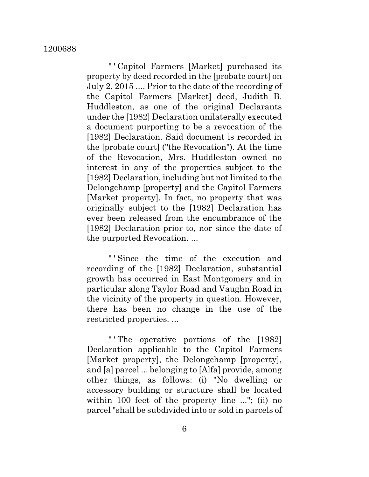" ' Capitol Farmers [Market] purchased its property by deed recorded in the [probate court] on July 2, 2015 .... Prior to the date of the recording of the Capitol Farmers [Market] deed, Judith B. Huddleston, as one of the original Declarants under the [1982] Declaration unilaterally executed a document purporting to be a revocation of the [1982] Declaration. Said document is recorded in the [probate court] ("the Revocation"). At the time of the Revocation, Mrs. Huddleston owned no interest in any of the properties subject to the [1982] Declaration, including but not limited to the Delongchamp [property] and the Capitol Farmers [Market property]. In fact, no property that was originally subject to the [1982] Declaration has ever been released from the encumbrance of the [1982] Declaration prior to, nor since the date of the purported Revocation. ...

" ' Since the time of the execution and recording of the [1982] Declaration, substantial growth has occurred in East Montgomery and in particular along Taylor Road and Vaughn Road in the vicinity of the property in question. However, there has been no change in the use of the restricted properties. ...

" ' The operative portions of the [1982] Declaration applicable to the Capitol Farmers [Market property], the Delongchamp [property], and [a] parcel ... belonging to [Alfa] provide, among other things, as follows: (i) "No dwelling or accessory building or structure shall be located within 100 feet of the property line ..."; (ii) no parcel "shall be subdivided into or sold in parcels of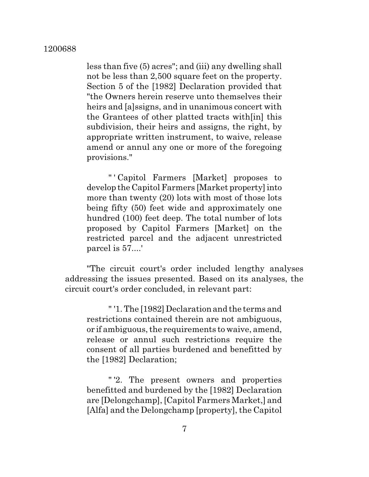less than five (5) acres"; and (iii) any dwelling shall not be less than 2,500 square feet on the property. Section 5 of the [1982] Declaration provided that "the Owners herein reserve unto themselves their heirs and [a]ssigns, and in unanimous concert with the Grantees of other platted tracts with[in] this subdivision, their heirs and assigns, the right, by appropriate written instrument, to waive, release amend or annul any one or more of the foregoing provisions."

" ' Capitol Farmers [Market] proposes to develop the Capitol Farmers [Market property]into more than twenty (20) lots with most of those lots being fifty (50) feet wide and approximately one hundred (100) feet deep. The total number of lots proposed by Capitol Farmers [Market] on the restricted parcel and the adjacent unrestricted parcel is 57....'

"The circuit court's order included lengthy analyses addressing the issues presented. Based on its analyses, the circuit court's order concluded, in relevant part:

" '1. The [1982] Declaration and the terms and restrictions contained therein are not ambiguous, or if ambiguous, the requirements to waive, amend, release or annul such restrictions require the consent of all parties burdened and benefitted by the [1982] Declaration;

" '2. The present owners and properties benefitted and burdened by the [1982] Declaration are [Delongchamp], [Capitol Farmers Market,] and [Alfa] and the Delongchamp [property], the Capitol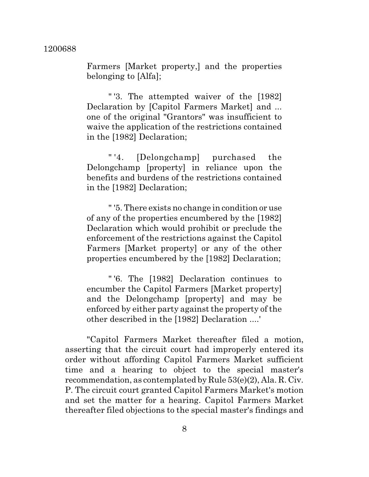Farmers [Market property,] and the properties belonging to [Alfa];

" '3. The attempted waiver of the [1982] Declaration by [Capitol Farmers Market] and ... one of the original "Grantors" was insufficient to waive the application of the restrictions contained in the [1982] Declaration;

" '4. [Delongchamp] purchased the Delongchamp [property] in reliance upon the benefits and burdens of the restrictions contained in the [1982] Declaration;

" '5. There exists no change in condition or use of any of the properties encumbered by the [1982] Declaration which would prohibit or preclude the enforcement of the restrictions against the Capitol Farmers [Market property] or any of the other properties encumbered by the [1982] Declaration;

" '6. The [1982] Declaration continues to encumber the Capitol Farmers [Market property] and the Delongchamp [property] and may be enforced by either party against the property of the other described in the [1982] Declaration ....'

"Capitol Farmers Market thereafter filed a motion, asserting that the circuit court had improperly entered its order without affording Capitol Farmers Market sufficient time and a hearing to object to the special master's recommendation, as contemplated by Rule 53(e)(2), Ala. R. Civ. P. The circuit court granted Capitol Farmers Market's motion and set the matter for a hearing. Capitol Farmers Market thereafter filed objections to the special master's findings and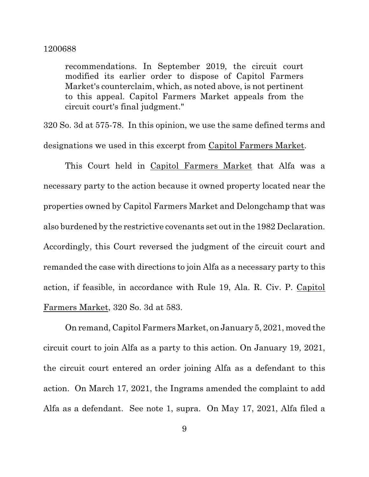recommendations. In September 2019, the circuit court modified its earlier order to dispose of Capitol Farmers Market's counterclaim, which, as noted above, is not pertinent to this appeal. Capitol Farmers Market appeals from the circuit court's final judgment."

320 So. 3d at 575-78. In this opinion, we use the same defined terms and designations we used in this excerpt from Capitol Farmers Market.

This Court held in Capitol Farmers Market that Alfa was a necessary party to the action because it owned property located near the properties owned by Capitol Farmers Market and Delongchamp that was also burdened by the restrictive covenants set out in the 1982 Declaration. Accordingly, this Court reversed the judgment of the circuit court and remanded the case with directions to join Alfa as a necessary party to this action, if feasible, in accordance with Rule 19, Ala. R. Civ. P. Capitol Farmers Market, 320 So. 3d at 583.

On remand, Capitol Farmers Market, on January 5, 2021, moved the circuit court to join Alfa as a party to this action. On January 19, 2021, the circuit court entered an order joining Alfa as a defendant to this action. On March 17, 2021, the Ingrams amended the complaint to add Alfa as a defendant. See note 1, supra. On May 17, 2021, Alfa filed a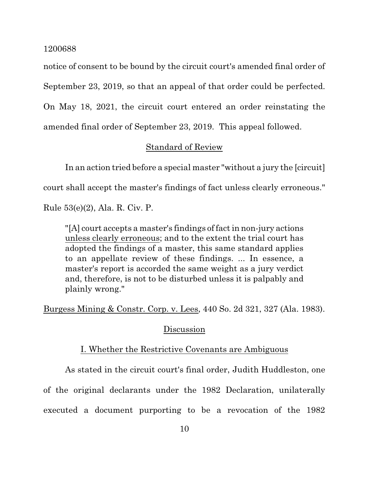notice of consent to be bound by the circuit court's amended final order of September 23, 2019, so that an appeal of that order could be perfected. On May 18, 2021, the circuit court entered an order reinstating the amended final order of September 23, 2019. This appeal followed.

# Standard of Review

In an action tried before a special master "without a jury the [circuit]

court shall accept the master's findings of fact unless clearly erroneous."

Rule 53(e)(2), Ala. R. Civ. P.

"[A] court accepts a master's findings of factin non-jury actions unless clearly erroneous; and to the extent the trial court has adopted the findings of a master, this same standard applies to an appellate review of these findings. ... In essence, a master's report is accorded the same weight as a jury verdict and, therefore, is not to be disturbed unless it is palpably and plainly wrong."

Burgess Mining & Constr. Corp. v. Lees, 440 So. 2d 321, 327 (Ala. 1983).

## Discussion

## I. Whether the Restrictive Covenants are Ambiguous

As stated in the circuit court's final order, Judith Huddleston, one

of the original declarants under the 1982 Declaration, unilaterally

executed a document purporting to be a revocation of the 1982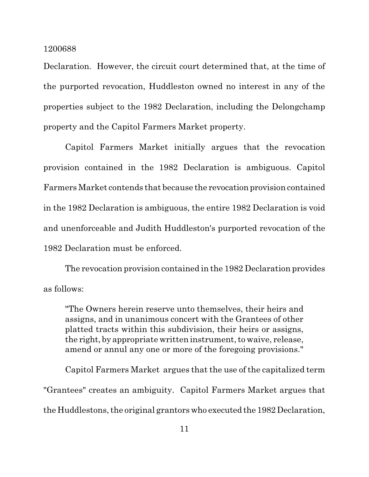Declaration. However, the circuit court determined that, at the time of the purported revocation, Huddleston owned no interest in any of the properties subject to the 1982 Declaration, including the Delongchamp property and the Capitol Farmers Market property.

Capitol Farmers Market initially argues that the revocation provision contained in the 1982 Declaration is ambiguous. Capitol Farmers Market contends that because the revocation provision contained in the 1982 Declaration is ambiguous, the entire 1982 Declaration is void and unenforceable and Judith Huddleston's purported revocation of the 1982 Declaration must be enforced.

The revocation provision contained in the 1982 Declaration provides as follows:

"The Owners herein reserve unto themselves, their heirs and assigns, and in unanimous concert with the Grantees of other platted tracts within this subdivision, their heirs or assigns, the right, by appropriate written instrument, to waive, release, amend or annul any one or more of the foregoing provisions."

Capitol Farmers Market argues that the use of the capitalized term "Grantees" creates an ambiguity. Capitol Farmers Market argues that the Huddlestons, the original grantors who executed the 1982 Declaration,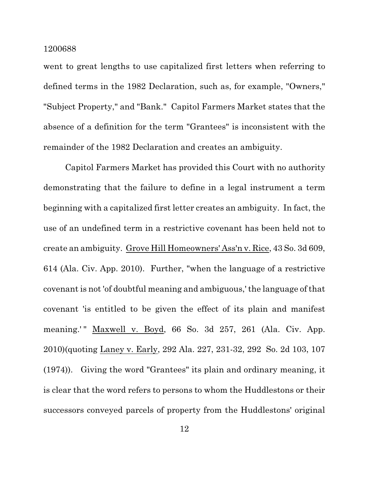went to great lengths to use capitalized first letters when referring to defined terms in the 1982 Declaration, such as, for example, "Owners," "Subject Property," and "Bank." Capitol Farmers Market states that the absence of a definition for the term "Grantees" is inconsistent with the remainder of the 1982 Declaration and creates an ambiguity.

Capitol Farmers Market has provided this Court with no authority demonstrating that the failure to define in a legal instrument a term beginning with a capitalized first letter creates an ambiguity. In fact, the use of an undefined term in a restrictive covenant has been held not to create an ambiguity. Grove Hill Homeowners' Ass'n v. Rice, 43 So. 3d 609, 614 (Ala. Civ. App. 2010). Further, "when the language of a restrictive covenant is not 'of doubtful meaning and ambiguous,' the language of that covenant 'is entitled to be given the effect of its plain and manifest meaning.'" Maxwell v. Boyd, 66 So. 3d 257, 261 (Ala. Civ. App. 2010)(quoting Laney v. Early, 292 Ala. 227, 231-32, 292 So. 2d 103, 107 (1974)). Giving the word "Grantees" its plain and ordinary meaning, it is clear that the word refers to persons to whom the Huddlestons or their successors conveyed parcels of property from the Huddlestons' original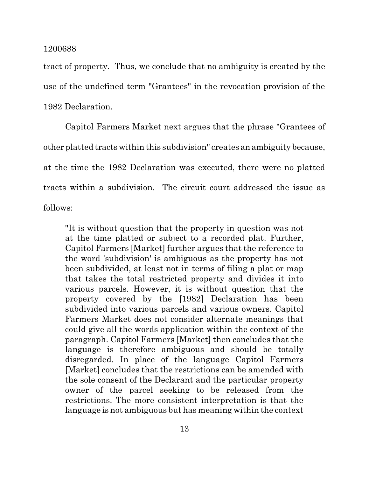tract of property. Thus, we conclude that no ambiguity is created by the use of the undefined term "Grantees" in the revocation provision of the 1982 Declaration.

Capitol Farmers Market next argues that the phrase "Grantees of other platted tracts within this subdivision" creates an ambiguity because, at the time the 1982 Declaration was executed, there were no platted tracts within a subdivision. The circuit court addressed the issue as follows:

"It is without question that the property in question was not at the time platted or subject to a recorded plat. Further, Capitol Farmers [Market] further argues that the reference to the word 'subdivision' is ambiguous as the property has not been subdivided, at least not in terms of filing a plat or map that takes the total restricted property and divides it into various parcels. However, it is without question that the property covered by the [1982] Declaration has been subdivided into various parcels and various owners. Capitol Farmers Market does not consider alternate meanings that could give all the words application within the context of the paragraph. Capitol Farmers [Market] then concludes that the language is therefore ambiguous and should be totally disregarded. In place of the language Capitol Farmers [Market] concludes that the restrictions can be amended with the sole consent of the Declarant and the particular property owner of the parcel seeking to be released from the restrictions. The more consistent interpretation is that the language is not ambiguous but has meaning within the context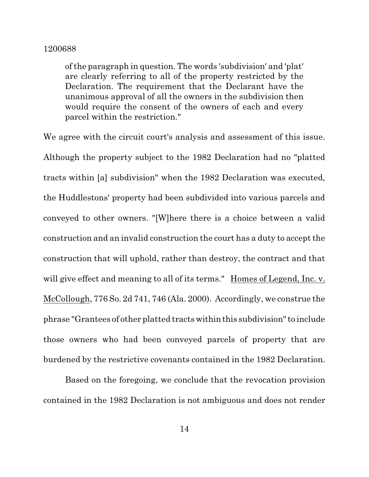of the paragraph in question. The words 'subdivision' and 'plat' are clearly referring to all of the property restricted by the Declaration. The requirement that the Declarant have the unanimous approval of all the owners in the subdivision then would require the consent of the owners of each and every parcel within the restriction."

We agree with the circuit court's analysis and assessment of this issue. Although the property subject to the 1982 Declaration had no "platted tracts within [a] subdivision" when the 1982 Declaration was executed, the Huddlestons' property had been subdivided into various parcels and conveyed to other owners. "[W]here there is a choice between a valid construction and an invalid construction the court has a duty to accept the construction that will uphold, rather than destroy, the contract and that will give effect and meaning to all of its terms." Homes of Legend, Inc. v. McCollough, 776 So. 2d 741, 746 (Ala. 2000). Accordingly, we construe the phrase "Grantees of other platted tractswithinthis subdivision"to include those owners who had been conveyed parcels of property that are burdened by the restrictive covenants contained in the 1982 Declaration.

Based on the foregoing, we conclude that the revocation provision contained in the 1982 Declaration is not ambiguous and does not render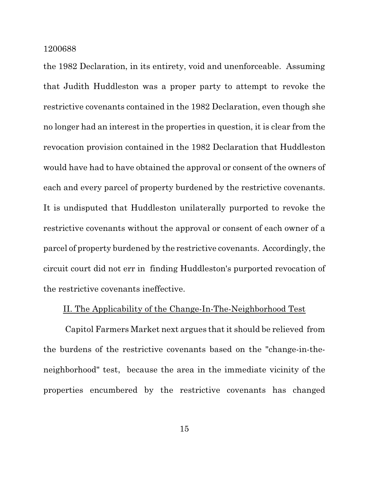the 1982 Declaration, in its entirety, void and unenforceable. Assuming that Judith Huddleston was a proper party to attempt to revoke the restrictive covenants contained in the 1982 Declaration, even though she no longer had an interest in the properties in question, it is clear from the revocation provision contained in the 1982 Declaration that Huddleston would have had to have obtained the approval or consent of the owners of each and every parcel of property burdened by the restrictive covenants. It is undisputed that Huddleston unilaterally purported to revoke the restrictive covenants without the approval or consent of each owner of a parcel of property burdened by the restrictive covenants. Accordingly,the circuit court did not err in finding Huddleston's purported revocation of the restrictive covenants ineffective.

## II. The Applicability of the Change-In-The-Neighborhood Test

Capitol Farmers Market next argues that it should be relieved from the burdens of the restrictive covenants based on the "change-in-theneighborhood" test, because the area in the immediate vicinity of the properties encumbered by the restrictive covenants has changed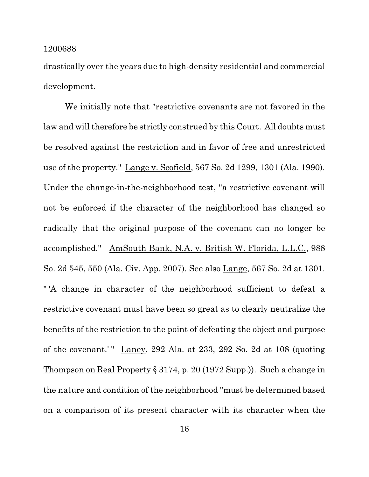drastically over the years due to high-density residential and commercial development.

We initially note that "restrictive covenants are not favored in the law and will therefore be strictly construed by this Court. All doubts must be resolved against the restriction and in favor of free and unrestricted use of the property." Lange v. Scofield, 567 So. 2d 1299, 1301 (Ala. 1990). Under the change-in-the-neighborhood test, "a restrictive covenant will not be enforced if the character of the neighborhood has changed so radically that the original purpose of the covenant can no longer be accomplished." AmSouth Bank, N.A. v. British W. Florida, L.L.C., 988 So. 2d 545, 550 (Ala. Civ. App. 2007). See also Lange, 567 So. 2d at 1301. " 'A change in character of the neighborhood sufficient to defeat a restrictive covenant must have been so great as to clearly neutralize the benefits of the restriction to the point of defeating the object and purpose of the covenant.'" Laney, 292 Ala. at 233, 292 So. 2d at  $108$  (quoting Thompson on Real Property § 3174, p. 20 (1972 Supp.)). Such a change in the nature and condition of the neighborhood "must be determined based on a comparison of its present character with its character when the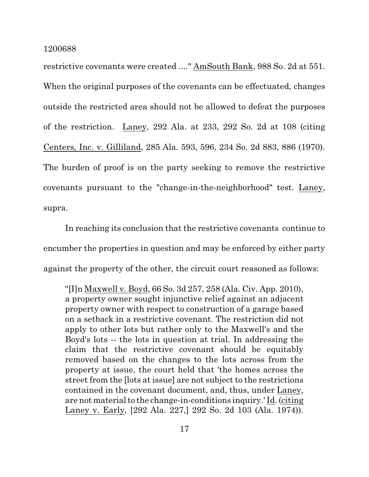restrictive covenants were created ...." AmSouth Bank, 988 So. 2d at 551. When the original purposes of the covenants can be effectuated, changes outside the restricted area should not be allowed to defeat the purposes of the restriction. Laney, 292 Ala. at 233, 292 So. 2d at 108 (citing Centers, Inc. v. Gilliland, 285 Ala. 593, 596, 234 So. 2d 883, 886 (1970). The burden of proof is on the party seeking to remove the restrictive covenants pursuant to the "change-in-the-neighborhood" test. Laney, supra.

In reaching its conclusion that the restrictive covenants continue to encumber the properties in question and may be enforced by either party against the property of the other, the circuit court reasoned as follows:

"[I]n Maxwell v. Boyd, 66 So. 3d 257, 258 (Ala. Civ. App. 2010), a property owner sought injunctive relief against an adjacent property owner with respect to construction of a garage based on a setback in a restrictive covenant. The restriction did not apply to other lots but rather only to the Maxwell's and the Boyd's lots -- the lots in question at trial. In addressing the claim that the restrictive covenant should be equitably removed based on the changes to the lots across from the property at issue, the court held that 'the homes across the street from the [lots at issue] are not subject to the restrictions contained in the covenant document, and, thus, under Laney, are not material to the change-in-conditions inquiry.' Id. (citing Laney v. Early, [292 Ala. 227,] 292 So. 2d 103 (Ala. 1974)).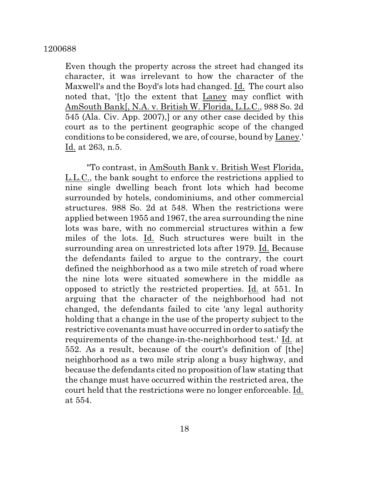Even though the property across the street had changed its character, it was irrelevant to how the character of the Maxwell's and the Boyd's lots had changed. Id. The court also noted that, '[t]o the extent that Laney may conflict with AmSouth Bank[, N.A. v. British W. Florida, L.L.C., 988 So. 2d 545 (Ala. Civ. App. 2007),] or any other case decided by this court as to the pertinent geographic scope of the changed conditions to be considered, we are, of course, bound by Laney.' Id. at 263, n.5.

"To contrast, in AmSouth Bank v. British West Florida, L.L.C., the bank sought to enforce the restrictions applied to nine single dwelling beach front lots which had become surrounded by hotels, condominiums, and other commercial structures. 988 So. 2d at 548. When the restrictions were applied between 1955 and 1967, the area surrounding the nine lots was bare, with no commercial structures within a few miles of the lots. Id. Such structures were built in the surrounding area on unrestricted lots after 1979. Id. Because the defendants failed to argue to the contrary, the court defined the neighborhood as a two mile stretch of road where the nine lots were situated somewhere in the middle as opposed to strictly the restricted properties. Id. at 551. In arguing that the character of the neighborhood had not changed, the defendants failed to cite 'any legal authority holding that a change in the use of the property subject to the restrictive covenants must have occurred in order to satisfy the requirements of the change-in-the-neighborhood test.' Id. at 552. As a result, because of the court's definition of [the] neighborhood as a two mile strip along a busy highway, and because the defendants cited no proposition of law stating that the change must have occurred within the restricted area, the court held that the restrictions were no longer enforceable. Id. at 554.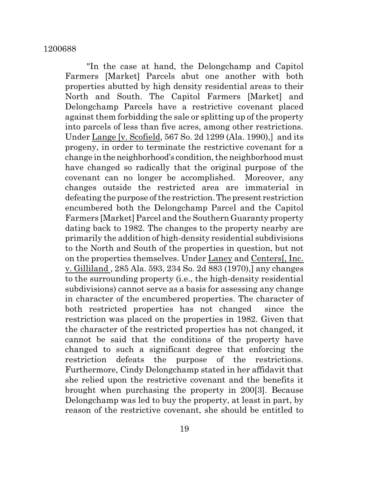"In the case at hand, the Delongchamp and Capitol Farmers [Market] Parcels abut one another with both properties abutted by high density residential areas to their North and South. The Capitol Farmers [Market] and Delongchamp Parcels have a restrictive covenant placed against them forbidding the sale or splitting up of the property into parcels of less than five acres, among other restrictions. Under Lange [v. Scofield, 567 So. 2d 1299 (Ala. 1990),] and its progeny, in order to terminate the restrictive covenant for a change in the neighborhood's condition, the neighborhood must have changed so radically that the original purpose of the covenant can no longer be accomplished. Moreover, any changes outside the restricted area are immaterial in defeating the purpose of the restriction. The present restriction encumbered both the Delongchamp Parcel and the Capitol Farmers [Market] Parcel and the Southern Guaranty property dating back to 1982. The changes to the property nearby are primarily the addition of high-density residential subdivisions to the North and South of the properties in question, but not on the properties themselves. Under Laney and Centers[, Inc. v. Gilliland , 285 Ala. 593, 234 So. 2d 883 (1970),] any changes to the surrounding property (i.e., the high-density residential subdivisions) cannot serve as a basis for assessing any change in character of the encumbered properties. The character of both restricted properties has not changed since the restriction was placed on the properties in 1982. Given that the character of the restricted properties has not changed, it cannot be said that the conditions of the property have changed to such a significant degree that enforcing the restriction defeats the purpose of the restrictions. Furthermore, Cindy Delongchamp stated in her affidavit that she relied upon the restrictive covenant and the benefits it brought when purchasing the property in 200[3]. Because Delongchamp was led to buy the property, at least in part, by reason of the restrictive covenant, she should be entitled to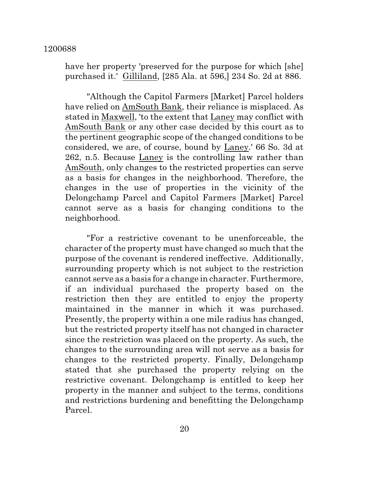have her property 'preserved for the purpose for which [she] purchased it.' Gilliland, [285 Ala. at 596,] 234 So. 2d at 886.

"Although the Capitol Farmers [Market] Parcel holders have relied on AmSouth Bank, their reliance is misplaced. As stated in Maxwell, 'to the extent that Laney may conflict with AmSouth Bank or any other case decided by this court as to the pertinent geographic scope of the changed conditions to be considered, we are, of course, bound by Laney.' 66 So. 3d at 262, n.5. Because Laney is the controlling law rather than AmSouth, only changes to the restricted properties can serve as a basis for changes in the neighborhood. Therefore, the changes in the use of properties in the vicinity of the Delongchamp Parcel and Capitol Farmers [Market] Parcel cannot serve as a basis for changing conditions to the neighborhood.

"For a restrictive covenant to be unenforceable, the character of the property must have changed so much that the purpose of the covenant is rendered ineffective. Additionally, surrounding property which is not subject to the restriction cannot serve as a basis for a change in character. Furthermore, if an individual purchased the property based on the restriction then they are entitled to enjoy the property maintained in the manner in which it was purchased. Presently, the property within a one mile radius has changed, but the restricted property itself has not changed in character since the restriction was placed on the property. As such, the changes to the surrounding area will not serve as a basis for changes to the restricted property. Finally, Delongchamp stated that she purchased the property relying on the restrictive covenant. Delongchamp is entitled to keep her property in the manner and subject to the terms, conditions and restrictions burdening and benefitting the Delongchamp Parcel.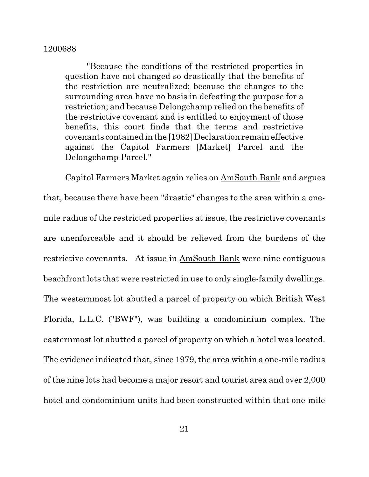"Because the conditions of the restricted properties in question have not changed so drastically that the benefits of the restriction are neutralized; because the changes to the surrounding area have no basis in defeating the purpose for a restriction; and because Delongchamp relied on the benefits of the restrictive covenant and is entitled to enjoyment of those benefits, this court finds that the terms and restrictive covenants contained in the [1982] Declaration remain effective against the Capitol Farmers [Market] Parcel and the Delongchamp Parcel."

Capitol Farmers Market again relies on AmSouth Bank and argues that, because there have been "drastic" changes to the area within a onemile radius of the restricted properties at issue, the restrictive covenants are unenforceable and it should be relieved from the burdens of the restrictive covenants. At issue in AmSouth Bank were nine contiguous beachfront lots that were restricted in use to only single-family dwellings. The westernmost lot abutted a parcel of property on which British West Florida, L.L.C. ("BWF"), was building a condominium complex. The easternmost lot abutted a parcel of property on which a hotel was located. The evidence indicated that, since 1979, the area within a one-mile radius of the nine lots had become a major resort and tourist area and over 2,000 hotel and condominium units had been constructed within that one-mile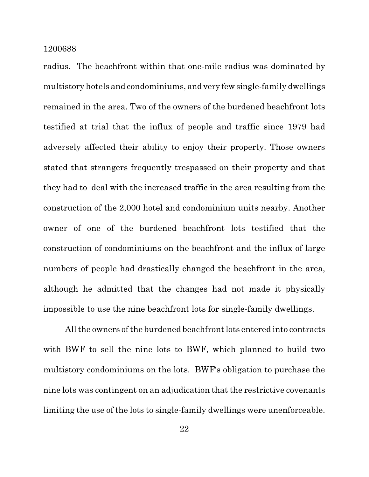radius. The beachfront within that one-mile radius was dominated by multistory hotels and condominiums, and very fewsingle-family dwellings remained in the area. Two of the owners of the burdened beachfront lots testified at trial that the influx of people and traffic since 1979 had adversely affected their ability to enjoy their property. Those owners stated that strangers frequently trespassed on their property and that they had to deal with the increased traffic in the area resulting from the construction of the 2,000 hotel and condominium units nearby. Another owner of one of the burdened beachfront lots testified that the construction of condominiums on the beachfront and the influx of large numbers of people had drastically changed the beachfront in the area, although he admitted that the changes had not made it physically impossible to use the nine beachfront lots for single-family dwellings.

All the owners of the burdened beachfront lots entered into contracts with BWF to sell the nine lots to BWF, which planned to build two multistory condominiums on the lots. BWF's obligation to purchase the nine lots was contingent on an adjudication that the restrictive covenants limiting the use of the lots to single-family dwellings were unenforceable.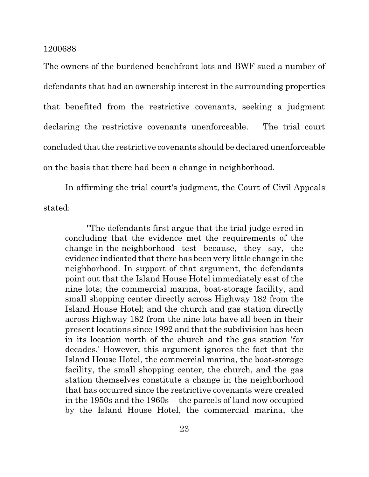The owners of the burdened beachfront lots and BWF sued a number of defendants that had an ownership interest in the surrounding properties that benefited from the restrictive covenants, seeking a judgment declaring the restrictive covenants unenforceable. The trial court concluded that the restrictive covenants should be declared unenforceable on the basis that there had been a change in neighborhood.

In affirming the trial court's judgment, the Court of Civil Appeals stated:

"The defendants first argue that the trial judge erred in concluding that the evidence met the requirements of the change-in-the-neighborhood test because, they say, the evidence indicated that there has been very little change in the neighborhood. In support of that argument, the defendants point out that the Island House Hotel immediately east of the nine lots; the commercial marina, boat-storage facility, and small shopping center directly across Highway 182 from the Island House Hotel; and the church and gas station directly across Highway 182 from the nine lots have all been in their present locations since 1992 and that the subdivision has been in its location north of the church and the gas station 'for decades.' However, this argument ignores the fact that the Island House Hotel, the commercial marina, the boat-storage facility, the small shopping center, the church, and the gas station themselves constitute a change in the neighborhood that has occurred since the restrictive covenants were created in the 1950s and the 1960s -- the parcels of land now occupied by the Island House Hotel, the commercial marina, the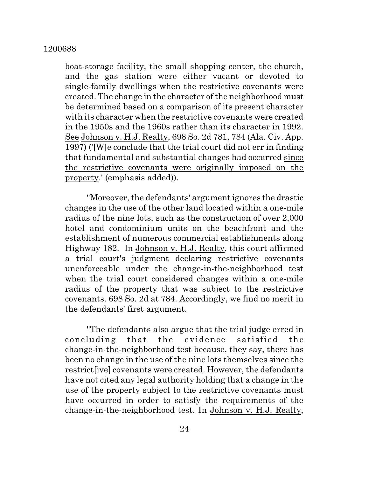boat-storage facility, the small shopping center, the church, and the gas station were either vacant or devoted to single-family dwellings when the restrictive covenants were created. The change in the character of the neighborhood must be determined based on a comparison of its present character with its character when the restrictive covenants were created in the 1950s and the 1960s rather than its character in 1992. See Johnson v. H.J. Realty, 698 So. 2d 781, 784 (Ala. Civ. App. 1997) ('[W]e conclude that the trial court did not err in finding that fundamental and substantial changes had occurred since the restrictive covenants were originally imposed on the property.' (emphasis added)).

"Moreover, the defendants' argumentignores the drastic changes in the use of the other land located within a one-mile radius of the nine lots, such as the construction of over 2,000 hotel and condominium units on the beachfront and the establishment of numerous commercial establishments along Highway 182. In Johnson v. H.J. Realty, this court affirmed a trial court's judgment declaring restrictive covenants unenforceable under the change-in-the-neighborhood test when the trial court considered changes within a one-mile radius of the property that was subject to the restrictive covenants. 698 So. 2d at 784. Accordingly, we find no merit in the defendants' first argument.

"The defendants also argue that the trial judge erred in concluding that the evidence satisfied the change-in-the-neighborhood test because, they say, there has been no change in the use of the nine lots themselves since the restrict[ive] covenants were created. However, the defendants have not cited any legal authority holding that a change in the use of the property subject to the restrictive covenants must have occurred in order to satisfy the requirements of the change-in-the-neighborhood test. In Johnson v. H.J. Realty,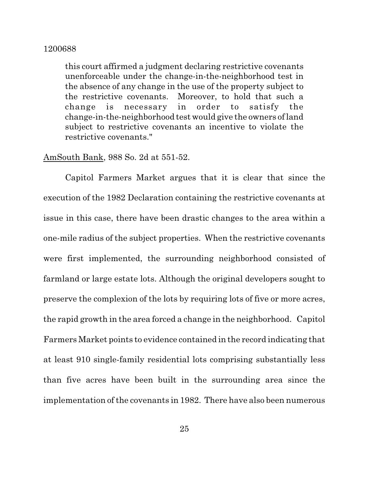this court affirmed a judgment declaring restrictive covenants unenforceable under the change-in-the-neighborhood test in the absence of any change in the use of the property subject to the restrictive covenants. Moreover, to hold that such a change is necessary in order to satisfy the change-in-the-neighborhood test would give the owners of land subject to restrictive covenants an incentive to violate the restrictive covenants."

## AmSouth Bank, 988 So. 2d at 551-52.

Capitol Farmers Market argues that it is clear that since the execution of the 1982 Declaration containing the restrictive covenants at issue in this case, there have been drastic changes to the area within a one-mile radius of the subject properties. When the restrictive covenants were first implemented, the surrounding neighborhood consisted of farmland or large estate lots. Although the original developers sought to preserve the complexion of the lots by requiring lots of five or more acres, the rapid growth in the area forced a change in the neighborhood. Capitol Farmers Market points to evidence contained in the record indicating that at least 910 single-family residential lots comprising substantially less than five acres have been built in the surrounding area since the implementation of the covenants in 1982. There have also been numerous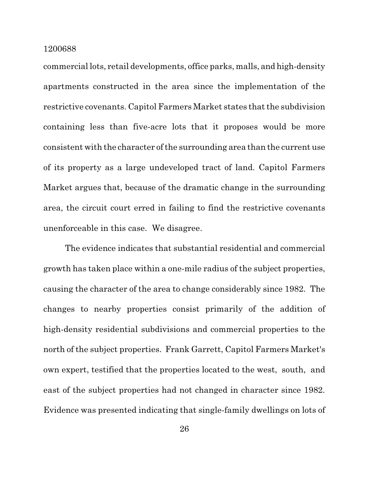commercial lots, retail developments, office parks, malls, and high-density apartments constructed in the area since the implementation of the restrictive covenants. Capitol Farmers Market states that the subdivision containing less than five-acre lots that it proposes would be more consistent with the character of the surrounding area than the current use of its property as a large undeveloped tract of land. Capitol Farmers Market argues that, because of the dramatic change in the surrounding area, the circuit court erred in failing to find the restrictive covenants unenforceable in this case. We disagree.

The evidence indicates that substantial residential and commercial growth has taken place within a one-mile radius of the subject properties, causing the character of the area to change considerably since 1982. The changes to nearby properties consist primarily of the addition of high-density residential subdivisions and commercial properties to the north of the subject properties. Frank Garrett, Capitol Farmers Market's own expert, testified that the properties located to the west, south, and east of the subject properties had not changed in character since 1982. Evidence was presented indicating that single-family dwellings on lots of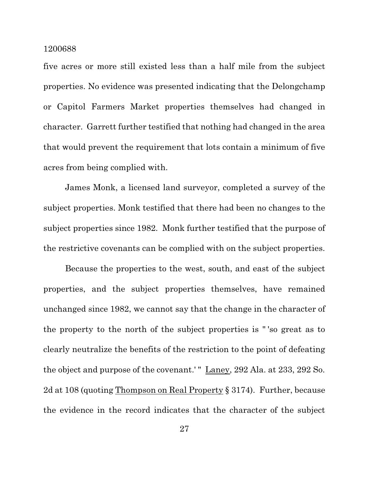five acres or more still existed less than a half mile from the subject properties. No evidence was presented indicating that the Delongchamp or Capitol Farmers Market properties themselves had changed in character. Garrett further testified that nothing had changed in the area that would prevent the requirement that lots contain a minimum of five acres from being complied with.

James Monk, a licensed land surveyor, completed a survey of the subject properties. Monk testified that there had been no changes to the subject properties since 1982. Monk further testified that the purpose of the restrictive covenants can be complied with on the subject properties.

Because the properties to the west, south, and east of the subject properties, and the subject properties themselves, have remained unchanged since 1982, we cannot say that the change in the character of the property to the north of the subject properties is " 'so great as to clearly neutralize the benefits of the restriction to the point of defeating the object and purpose of the covenant.'" Laney, 292 Ala. at 233, 292 So. 2d at 108 (quoting Thompson on Real Property § 3174). Further, because the evidence in the record indicates that the character of the subject